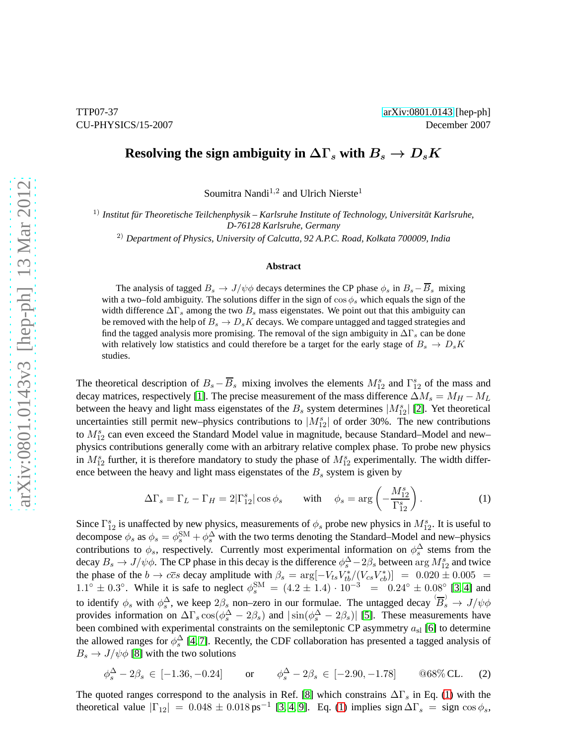## **Resolving the sign ambiguity in**  $\Delta\Gamma_s$  with  $B_s \to D_s K$

Soumitra Nandi<sup>1,2</sup> and Ulrich Nierste<sup>1</sup>

<sup>1)</sup> Institut für Theoretische Teilchenphysik – Karlsruhe Institute of Technology, Universität Karlsruhe, *D-76128 Karlsruhe, Germany*

2) *Department of Physics, University of Calcutta, 92 A.P.C. Road, Kolkata 700009, India*

## **Abstract**

The analysis of tagged  $B_s \to J/\psi \phi$  decays determines the CP phase  $\phi_s$  in  $B_s - \overline{B}_s$  mixing with a two–fold ambiguity. The solutions differ in the sign of  $\cos \phi_s$  which equals the sign of the width difference  $\Delta\Gamma_s$  among the two  $B_s$  mass eigenstates. We point out that this ambiguity can be removed with the help of  $B_s \to D_s K$  decays. We compare untagged and tagged strategies and find the tagged analysis more promising. The removal of the sign ambiguity in  $\Delta\Gamma_s$  can be done with relatively low statistics and could therefore be a target for the early stage of  $B_s \to D_s K$ studies.

The theoretical description of  $B_s - \overline{B}_s$  mixing involves the elements  $M_{12}^s$  and  $\Gamma_{12}^s$  of the mass and decay matrices, respectively [\[1\]](#page-5-0). The precise measurement of the mass difference  $\Delta M_s = M_H - M_L$ between the heavy and light mass eigenstates of the  $B_s$  system determines  $|M_{12}^s|$  [\[2\]](#page-5-1). Yet theoretical uncertainties still permit new–physics contributions to  $|M_{12}^s|$  of order 30%. The new contributions to  $M_{12}^s$  can even exceed the Standard Model value in magnitude, because Standard–Model and new– physics contributions generally come with an arbitrary relative complex phase. To probe new physics in  $M_{12}^s$  further, it is therefore mandatory to study the phase of  $M_{12}^s$  experimentally. The width difference between the heavy and light mass eigenstates of the  $B<sub>s</sub>$  system is given by

<span id="page-0-0"></span>
$$
\Delta\Gamma_s = \Gamma_L - \Gamma_H = 2|\Gamma_{12}^s|\cos\phi_s \quad \text{with} \quad \phi_s = \arg\left(-\frac{M_{12}^s}{\Gamma_{12}^s}\right). \tag{1}
$$

Since  $\Gamma_{12}^s$  is unaffected by new physics, measurements of  $\phi_s$  probe new physics in  $M_{12}^s$ . It is useful to decompose  $\phi_s$  as  $\phi_s = \phi_s^{SM} + \phi_s^{ \Delta}$  with the two terms denoting the Standard–Model and new–physics contributions to  $\phi_s$ , respectively. Currently most experimental information on  $\phi_s^{\Delta}$  stems from the decay  $B_s \to J/\psi \phi$ . The CP phase in this decay is the difference  $\phi_s^{\Delta} - 2\beta_s$  between  $\arg M_{12}^s$  and twice the phase of the  $b \to c\bar{c}s$  decay amplitude with  $\beta_s = \arg[-V_{ts}V_{tb}^*/(V_{cs}V_{cb}^*)] = 0.020 \pm 0.005 =$  $1.1^{\circ} \pm 0.3^{\circ}$ . While it is safe to neglect  $\phi_s^{\text{SM}} = (4.2 \pm 1.4) \cdot 10^{-3} = 0.24^{\circ} \pm 0.08^{\circ}$  [\[3,](#page-5-2) [4\]](#page-5-3) and to identify  $\phi_s$  with  $\phi_s^{\Delta}$ , we keep  $2\beta_s$  non–zero in our formulae. The untagged decay  $(\overline{B}_s) \to J/\psi \phi$ provides information on  $\Delta\Gamma_s \cos(\phi_s^{\Delta} - 2\beta_s)$  and  $|\sin(\phi_s^{\Delta} - 2\beta_s)|$  [\[5\]](#page-5-4). These measurements have been combined with experimental constraints on the semileptonic CP asymmetry  $a_{sl}$  [\[6\]](#page-5-5) to determine the allowed ranges for  $\phi_s^{\Delta}$  [\[4,](#page-5-3) [7\]](#page-5-6). Recently, the CDF collaboration has presented a tagged analysis of  $B_s \to J/\psi \phi$  [\[8\]](#page-5-7) with the two solutions

<span id="page-0-1"></span>
$$
\phi_s^{\Delta} - 2\beta_s \in [-1.36, -0.24] \quad \text{or} \quad \phi_s^{\Delta} - 2\beta_s \in [-2.90, -1.78] \quad \textcircled{68\% CL.} \quad (2)
$$

The quoted ranges correspond to the analysis in Ref. [\[8\]](#page-5-7) which constrains  $\Delta\Gamma_s$  in Eq. [\(1\)](#page-0-0) with the theoretical value  $|\Gamma_{12}| = 0.048 \pm 0.018 \text{ ps}^{-1}$  [\[3,](#page-5-2) [4,](#page-5-3) [9\]](#page-5-8). Eq. [\(1\)](#page-0-0) implies sign  $\Delta\Gamma_s = \text{sign}\cos\phi_s$ ,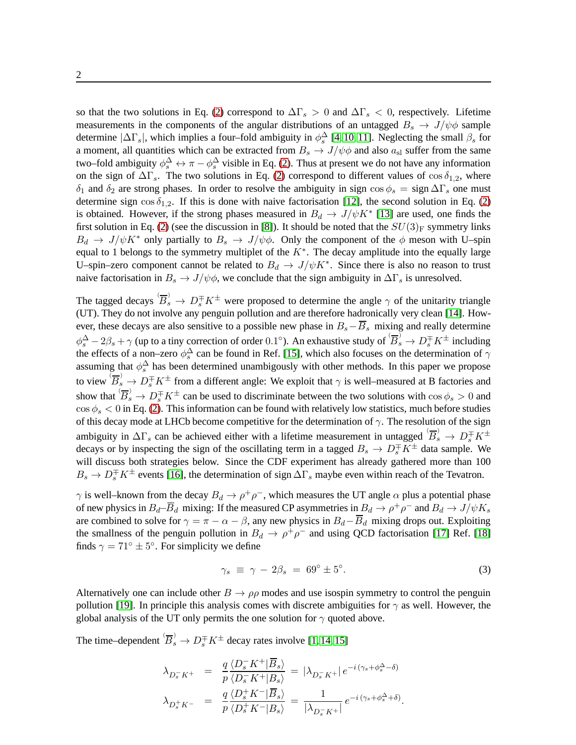so that the two solutions in Eq. [\(2\)](#page-0-1) correspond to  $\Delta\Gamma_s > 0$  and  $\Delta\Gamma_s < 0$ , respectively. Lifetime measurements in the components of the angular distributions of an untagged  $B_s \to J/\psi \phi$  sample determine  $|\Delta\Gamma_s|$ , which implies a four–fold ambiguity in  $\phi_s^{\Delta}$  [\[4,](#page-5-3) [10,](#page-5-9) [11\]](#page-5-10). Neglecting the small  $\beta_s$  for a moment, all quantities which can be extracted from  $B_s \to J/\psi \phi$  and also  $a_{sl}$  suffer from the same two–fold ambiguity  $\phi_s^{\Delta} \leftrightarrow \pi - \phi_s^{\Delta}$  visible in Eq. [\(2\)](#page-0-1). Thus at present we do not have any information on the sign of  $\Delta\Gamma_s$ . The two solutions in Eq. [\(2\)](#page-0-1) correspond to different values of cos  $\delta_{1,2}$ , where δ<sub>1</sub> and δ<sub>2</sub> are strong phases. In order to resolve the ambiguity in sign cos  $\phi_s = \text{sign } \Delta \Gamma_s$  one must determine sign  $\cos \delta_{1,2}$ . If this is done with naive factorisation [\[12\]](#page-5-11), the second solution in Eq. [\(2\)](#page-0-1) is obtained. However, if the strong phases measured in  $B_d \to J/\psi K^*$  [\[13\]](#page-5-12) are used, one finds the first solution in Eq. [\(2\)](#page-0-1) (see the discussion in [\[8\]](#page-5-7)). It should be noted that the  $SU(3)_F$  symmetry links  $B_d \to J/\psi K^*$  only partially to  $B_s \to J/\psi \phi$ . Only the component of the  $\phi$  meson with U–spin equal to 1 belongs to the symmetry multiplet of the  $K^*$ . The decay amplitude into the equally large U–spin–zero component cannot be related to  $B_d \to J/\psi K^*$ . Since there is also no reason to trust naive factorisation in  $B_s \to J/\psi \phi$ , we conclude that the sign ambiguity in  $\Delta \Gamma_s$  is unresolved.

The tagged decays  $\overleftrightarrow{B_s} \to D_s^{\mp} K^{\pm}$  were proposed to determine the angle  $\gamma$  of the unitarity triangle (UT). They do not involve any penguin pollution and are therefore hadronically very clean [\[14\]](#page-5-13). However, these decays are also sensitive to a possible new phase in  $B_s-\overline{B}_s$  mixing and really determine  $\phi_s^{\Delta} - 2\beta_s + \gamma$  (up to a tiny correction of order 0.1°). An exhaustive study of  $(\overline{B}_s) \to D_s^{\pm} K^{\pm}$  including the effects of a non–zero  $\phi_s^{\Delta}$  can be found in Ref. [\[15\]](#page-5-14), which also focuses on the determination of  $\gamma$ assuming that  $\phi_s^{\Delta}$  has been determined unambigously with other methods. In this paper we propose to view  $\overline{B}_s$   $\to D_s^{\mp} K^{\pm}$  from a different angle: We exploit that  $\gamma$  is well–measured at B factories and show that  $(B_s \to D_s^{\pm} K^{\pm}$  can be used to discriminate between the two solutions with  $\cos \phi_s > 0$  and  $\cos \phi_s < 0$  in Eq. [\(2\)](#page-0-1). This information can be found with relatively low statistics, much before studies of this decay mode at LHCb become competitive for the determination of  $\gamma$ . The resolution of the sign ambiguity in  $\Delta\Gamma_s$  can be achieved either with a lifetime measurement in untagged  $\langle \overline{B}_s^0 \rangle \to D_s^{\mp} K^{\pm}$ decays or by inspecting the sign of the oscillating term in a tagged  $B_s \to D_s^{\pm} K^{\pm}$  data sample. We will discuss both strategies below. Since the CDF experiment has already gathered more than 100  $B_s \to D_s^{\pm} K^{\pm}$  events [\[16\]](#page-5-15), the determination of sign  $\Delta\Gamma_s$  maybe even within reach of the Tevatron.

 $\gamma$  is well–known from the decay  $B_d \to \rho^+ \rho^-$ , which measures the UT angle  $\alpha$  plus a potential phase of new physics in  $B_d$ — $\overline{B}_d$  mixing: If the measured CP asymmetries in  $B_d \to \rho^+ \rho^-$  and  $B_d \to J/\psi K_s$ are combined to solve for  $\gamma = \pi - \alpha - \beta$ , any new physics in  $B_d - \overline{B}_d$  mixing drops out. Exploiting the smallness of the penguin pollution in  $B_d \to \rho^+ \rho^-$  and using QCD factorisation [\[17\]](#page-5-16) Ref. [\[18\]](#page-6-0) finds  $\gamma = 71^\circ \pm 5^\circ$ . For simplicity we define

<span id="page-1-0"></span>
$$
\gamma_s \equiv \gamma - 2\beta_s = 69^\circ \pm 5^\circ. \tag{3}
$$

Alternatively one can include other  $B \to \rho \rho$  modes and use isospin symmetry to control the penguin pollution [\[19\]](#page-6-1). In principle this analysis comes with discrete ambiguities for  $\gamma$  as well. However, the global analysis of the UT only permits the one solution for  $\gamma$  quoted above.

The time–dependent  $\overleftrightarrow{B}_s^{\,} \rightarrow D_s^{\mp} K^{\pm}$  decay rates involve [\[1,](#page-5-0) [14,](#page-5-13) [15\]](#page-5-14)

$$
\lambda_{D_s^- K^+} = \frac{q}{p} \frac{\langle D_s^- K^+ | \overline{B}_s \rangle}{\langle D_s^- K^+ | B_s \rangle} = |\lambda_{D_s^- K^+}| e^{-i (\gamma_s + \phi_s^{\Delta} - \delta)}
$$
  

$$
\lambda_{D_s^+ K^-} = \frac{q}{p} \frac{\langle D_s^+ K^- | \overline{B}_s \rangle}{\langle D_s^+ K^- | B_s \rangle} = \frac{1}{|\lambda_{D_s^- K^+}|} e^{-i (\gamma_s + \phi_s^{\Delta} + \delta)}.
$$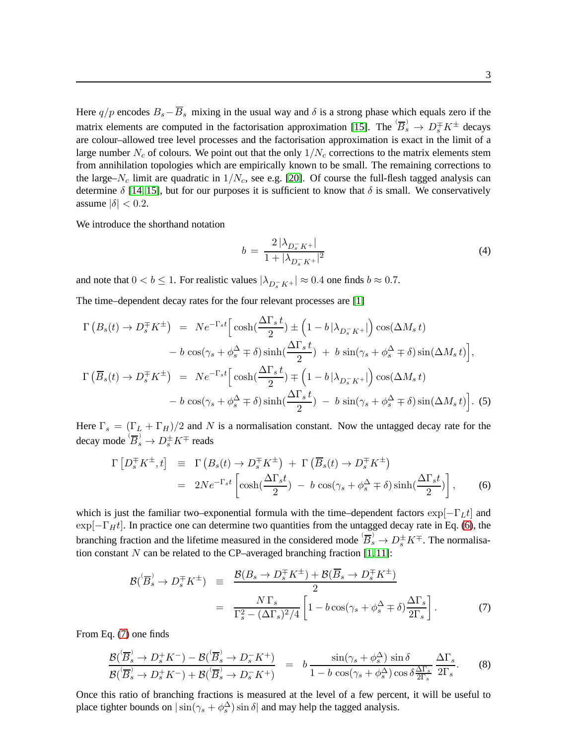Here  $q/p$  encodes  $B_s - \overline{B}_s$  mixing in the usual way and  $\delta$  is a strong phase which equals zero if the matrix elements are computed in the factorisation approximation [\[15\]](#page-5-14). The  $\overline{B}_s$   $\to D_s^{\mp} K^{\pm}$  decays are colour–allowed tree level processes and the factorisation approximation is exact in the limit of a large number  $N_c$  of colours. We point out that the only  $1/N_c$  corrections to the matrix elements stem from annihilation topologies which are empirically known to be small. The remaining corrections to the large– $N_c$  limit are quadratic in  $1/N_c$ , see e.g. [\[20\]](#page-6-2). Of course the full-flesh tagged analysis can determine  $\delta$  [\[14,](#page-5-13) [15\]](#page-5-14), but for our purposes it is sufficient to know that  $\delta$  is small. We conservatively assume  $|\delta| < 0.2$ .

We introduce the shorthand notation

$$
b = \frac{2|\lambda_{D_s^- K^+}|}{1 + |\lambda_{D_s^- K^+}|^2} \tag{4}
$$

and note that  $0 < b \le 1$ . For realistic values  $|\lambda_{D_s^- K^+}| \approx 0.4$  one finds  $b \approx 0.7$ .

The time–dependent decay rates for the four relevant processes are [\[1\]](#page-5-0)

<span id="page-2-3"></span>
$$
\Gamma\left(B_s(t) \to D_s^{\pm} K^{\pm}\right) = Ne^{-\Gamma_s t} \Big[ \cosh\left(\frac{\Delta \Gamma_s t}{2}\right) \pm \left(1 - b \left|\lambda_{D_s^- K^+}\right|\right) \cos(\Delta M_s t) \n- b \cos(\gamma_s + \phi_s^{\Delta} \mp \delta) \sinh\left(\frac{\Delta \Gamma_s t}{2}\right) + b \sin(\gamma_s + \phi_s^{\Delta} \mp \delta) \sin(\Delta M_s t) \Big],
$$
\n
$$
\Gamma\left(\overline{B}_s(t) \to D_s^{\mp} K^{\pm}\right) = Ne^{-\Gamma_s t} \Big[ \cosh\left(\frac{\Delta \Gamma_s t}{2}\right) \mp \left(1 - b \left|\lambda_{D_s^- K^+}\right|\right) \cos(\Delta M_s t) \n- b \cos(\gamma_s + \phi_s^{\Delta} \mp \delta) \sinh\left(\frac{\Delta \Gamma_s t}{2}\right) - b \sin(\gamma_s + \phi_s^{\Delta} \mp \delta) \sin(\Delta M_s t) \Big].
$$
\n(5)

Here  $\Gamma_s = (\Gamma_L + \Gamma_H)/2$  and N is a normalisation constant. Now the untagged decay rate for the decay mode  $\overleftrightarrow{B}_s$   $\to D_s^{\pm} K^{\mp}$  reads

<span id="page-2-0"></span>
$$
\Gamma\left[D_s^{\mp}K^{\pm},t\right] \equiv \Gamma\left(B_s(t) \to D_s^{\mp}K^{\pm}\right) + \Gamma\left(\overline{B}_s(t) \to D_s^{\mp}K^{\pm}\right)
$$
\n
$$
= 2Ne^{-\Gamma_s t} \left[\cosh\left(\frac{\Delta \Gamma_s t}{2}\right) - b\cos(\gamma_s + \phi_s^{\Delta} \mp \delta)\sinh\left(\frac{\Delta \Gamma_s t}{2}\right)\right], \qquad (6)
$$

which is just the familiar two–exponential formula with the time–dependent factors  $\exp[-\Gamma_L t]$  and  $\exp[-\Gamma_H t]$ . In practice one can determine two quantities from the untagged decay rate in Eq. [\(6\)](#page-2-0), the branching fraction and the lifetime measured in the considered mode  $\overline{B}_s^0 \to D_s^{\pm} K^{\mp}$ . The normalisation constant  $N$  can be related to the CP–averaged branching fraction  $[1, 11]$  $[1, 11]$ :

<span id="page-2-1"></span>
$$
\mathcal{B}(\overline{B}_s^{\flat} \to D_s^{\mp} K^{\pm}) \equiv \frac{\mathcal{B}(B_s \to D_s^{\mp} K^{\pm}) + \mathcal{B}(\overline{B}_s \to D_s^{\mp} K^{\pm})}{2}
$$

$$
= \frac{N \Gamma_s}{\Gamma_s^2 - (\Delta \Gamma_s)^2 / 4} \left[ 1 - b \cos(\gamma_s + \phi_s^{\Delta} \mp \delta) \frac{\Delta \Gamma_s}{2 \Gamma_s} \right]. \tag{7}
$$

From Eq. [\(7\)](#page-2-1) one finds

<span id="page-2-2"></span>
$$
\frac{\mathcal{B}(\overline{B}_s^{\flat} \to D_s^+ K^-) - \mathcal{B}(\overline{B}_s^{\flat} \to D_s^- K^+)}{\mathcal{B}(\overline{B}_s^{\flat} \to D_s^+ K^-) + \mathcal{B}(\overline{B}_s^{\flat} \to D_s^- K^+)} = b \frac{\sin(\gamma_s + \phi_s^{\Delta}) \sin \delta}{1 - b \cos(\gamma_s + \phi_s^{\Delta}) \cos \delta \frac{\Delta \Gamma_s}{2\Gamma_s}} \frac{\Delta \Gamma_s}{2\Gamma_s}.
$$
 (8)

Once this ratio of branching fractions is measured at the level of a few percent, it will be useful to place tighter bounds on  $|\sin(\gamma_s + \phi_s^{\Delta})\sin \delta|$  and may help the tagged analysis.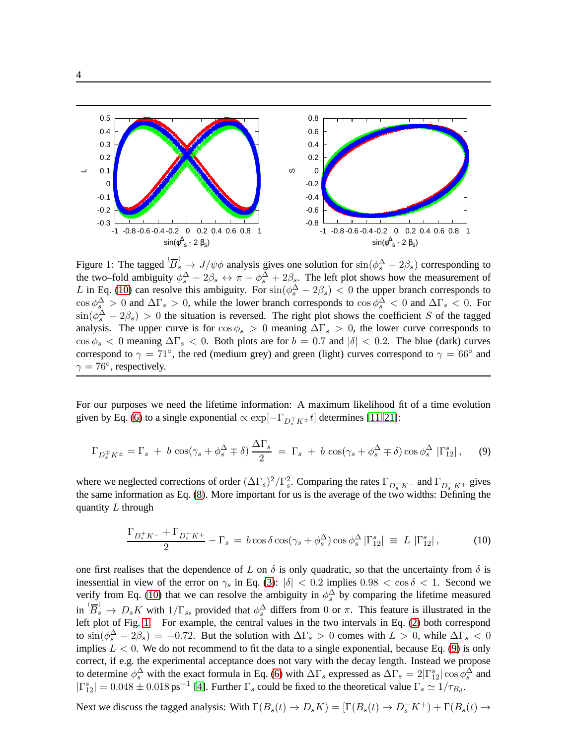

<span id="page-3-1"></span>Figure 1: The tagged  $\overleftrightarrow{B_s} \to J/\psi \phi$  analysis gives one solution for  $\sin(\phi_s^{\Delta} - 2\beta_s)$  corresponding to the two–fold ambiguity  $\phi_s^{\Delta} - 2\beta_s \leftrightarrow \pi - \phi_s^{\Delta} + 2\beta_s$ . The left plot shows how the measurement of L in Eq. [\(10\)](#page-3-0) can resolve this ambiguity. For  $sin(\phi_s^{\Delta} - 2\beta_s) < 0$  the upper branch corresponds to  $\cos \phi_s^{\Delta} > 0$  and  $\Delta \Gamma_s > 0$ , while the lower branch corresponds to  $\cos \phi_s^{\Delta} < 0$  and  $\Delta \Gamma_s < 0$ . For  $\sin(\phi_s^{\Delta} - 2\beta_s) > 0$  the situation is reversed. The right plot shows the coefficient S of the tagged analysis. The upper curve is for  $\cos \phi_s > 0$  meaning  $\Delta \Gamma_s > 0$ , the lower curve corresponds to  $\cos \phi_s$  < 0 meaning  $\Delta \Gamma_s$  < 0. Both plots are for  $b = 0.7$  and  $|\delta|$  < 0.2. The blue (dark) curves correspond to  $\gamma = 71^{\circ}$ , the red (medium grey) and green (light) curves correspond to  $\gamma = 66^{\circ}$  and  $\gamma = 76^{\circ}$ , respectively.

For our purposes we need the lifetime information: A maximum likelihood fit of a time evolution given by Eq. [\(6\)](#page-2-0) to a single exponential  $\propto \exp[-\Gamma_{D_s^{\pm}K^{\pm}}t]$  determines [\[11,](#page-5-10)21]:

<span id="page-3-2"></span>
$$
\Gamma_{D_s^{\mp} K^{\pm}} = \Gamma_s + b \cos(\gamma_s + \phi_s^{\Delta} \mp \delta) \frac{\Delta \Gamma_s}{2} = \Gamma_s + b \cos(\gamma_s + \phi_s^{\Delta} \mp \delta) \cos \phi_s^{\Delta} |\Gamma_{12}^s|, \tag{9}
$$

where we neglected corrections of order  $(\Delta\Gamma_s)^2/\Gamma_s^2$ . Comparing the rates  $\Gamma_{D_s^+K^-}$  and  $\Gamma_{D_s^-K^+}$  gives the same information as Eq. [\(8\)](#page-2-2). More important for us is the average of the two widths: Defining the quantity  $L$  through

<span id="page-3-0"></span>
$$
\frac{\Gamma_{D_s^+ K^-} + \Gamma_{D_s^- K^+}}{2} - \Gamma_s = b \cos \delta \cos(\gamma_s + \phi_s^{\Delta}) \cos \phi_s^{\Delta} |\Gamma_{12}^s| \equiv L |\Gamma_{12}^s|, \tag{10}
$$

one first realises that the dependence of L on  $\delta$  is only quadratic, so that the uncertainty from  $\delta$  is inessential in view of the error on  $\gamma_s$  in Eq. [\(3\)](#page-1-0):  $|\delta| < 0.2$  implies  $0.98 < \cos \delta < 1$ . Second we verify from Eq. [\(10\)](#page-3-0) that we can resolve the ambiguity in  $\phi_s^{\Delta}$  by comparing the lifetime measured in  $(B_s \to D_s K$  with  $1/\Gamma_s$ , provided that  $\phi_s^{\Delta}$  differs from 0 or  $\pi$ . This feature is illustrated in the left plot of Fig. [1.](#page-3-1) For example, the central values in the two intervals in Eq. [\(2\)](#page-0-1) both correspond to  $\sin(\phi_s^{\Delta} - 2\beta_s) = -0.72$ . But the solution with  $\Delta\Gamma_s > 0$  comes with  $L > 0$ , while  $\Delta\Gamma_s < 0$ implies  $L < 0$ . We do not recommend to fit the data to a single exponential, because Eq. [\(9\)](#page-3-2) is only correct, if e.g. the experimental acceptance does not vary with the decay length. Instead we propose to determine  $\phi_s^{\Delta}$  with the exact formula in Eq. [\(6\)](#page-2-0) with  $\Delta\Gamma_s$  expressed as  $\Delta\Gamma_s = 2|\Gamma_{12}^s|\cos\phi_s^{\Delta}$  and  $|\Gamma_{12}^s| = 0.048 \pm 0.018 \text{ ps}^{-1}$  [\[4\]](#page-5-3). Further  $\Gamma_s$  could be fixed to the theoretical value  $\Gamma_s \simeq 1/\tau_{B_d}$ .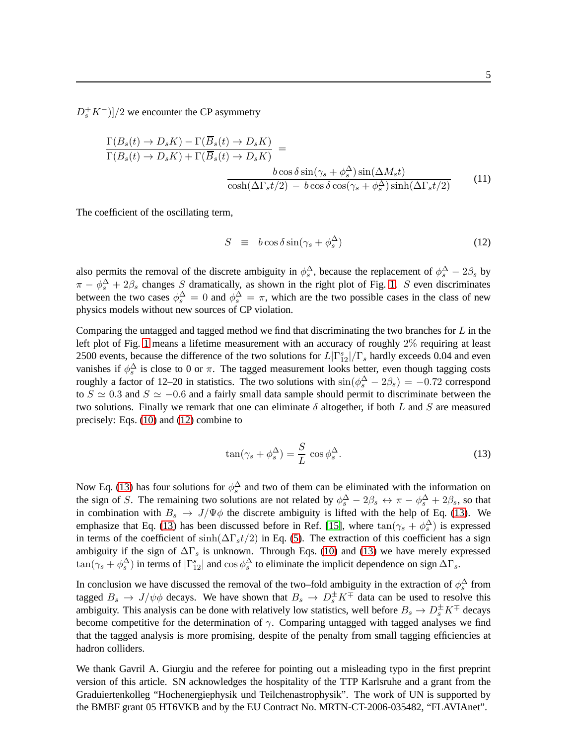$(D_s^+ K^-)]/2$  we encounter the CP asymmetry

$$
\frac{\Gamma(B_s(t) \to D_s K) - \Gamma(B_s(t) \to D_s K)}{\Gamma(B_s(t) \to D_s K) + \Gamma(\overline{B}_s(t) \to D_s K)} =
$$
\n
$$
\frac{b \cos \delta \sin(\gamma_s + \phi_s^{\Delta}) \sin(\Delta M_s t)}{\cosh(\Delta \Gamma_s t/2) - b \cos \delta \cos(\gamma_s + \phi_s^{\Delta}) \sinh(\Delta \Gamma_s t/2)}
$$
(11)

The coefficient of the oscillating term,

<span id="page-4-0"></span>
$$
S \equiv b \cos \delta \sin(\gamma_s + \phi_s^{\Delta}) \tag{12}
$$

also permits the removal of the discrete ambiguity in  $\phi_s^{\Delta}$ , because the replacement of  $\phi_s^{\Delta} - 2\beta_s$  by  $\pi - \phi_s^{\Delta} + 2\beta_s$  changes S dramatically, as shown in the right plot of Fig. [1.](#page-3-1) S even discriminates between the two cases  $\phi_s^{\Delta} = 0$  and  $\phi_s^{\Delta} = \pi$ , which are the two possible cases in the class of new physics models without new sources of CP violation.

Comparing the untagged and tagged method we find that discriminating the two branches for  $L$  in the left plot of Fig. [1](#page-3-1) means a lifetime measurement with an accuracy of roughly 2% requiring at least 2500 events, because the difference of the two solutions for  $L|\Gamma_{12}^s|/|\Gamma_s|$  hardly exceeds 0.04 and even vanishes if  $\phi_s^{\Delta}$  is close to 0 or  $\pi$ . The tagged measurement looks better, even though tagging costs roughly a factor of 12–20 in statistics. The two solutions with  $\sin(\phi_s^{\Delta} - 2\beta_s) = -0.72$  correspond to  $S \simeq 0.3$  and  $S \simeq -0.6$  and a fairly small data sample should permit to discriminate between the two solutions. Finally we remark that one can eliminate  $\delta$  altogether, if both L and S are measured precisely: Eqs. [\(10\)](#page-3-0) and [\(12\)](#page-4-0) combine to

<span id="page-4-1"></span>
$$
\tan(\gamma_s + \phi_s^{\Delta}) = \frac{S}{L} \cos \phi_s^{\Delta}.
$$
 (13)

Now Eq. [\(13\)](#page-4-1) has four solutions for  $\phi_s^{\Delta}$  and two of them can be eliminated with the information on the sign of S. The remaining two solutions are not related by  $\phi_s^{\Delta} - 2\beta_s \leftrightarrow \pi - \phi_s^{\Delta} + 2\beta_s$ , so that in combination with  $B_s \to J/\Psi \phi$  the discrete ambiguity is lifted with the help of Eq. [\(13\)](#page-4-1). We emphasize that Eq. [\(13\)](#page-4-1) has been discussed before in Ref. [\[15\]](#page-5-14), where  $tan(\gamma_s + \phi_s^{\Delta})$  is expressed in terms of the coefficient of sinh( $\Delta \Gamma_s t/2$ ) in Eq. [\(5\)](#page-2-3). The extraction of this coefficient has a sign ambiguity if the sign of  $\Delta\Gamma_s$  is unknown. Through Eqs. [\(10\)](#page-3-0) and [\(13\)](#page-4-1) we have merely expressed  $\tan(\gamma_s + \phi_s^{\Delta})$  in terms of  $|\Gamma_{12}^s|$  and  $\cos \phi_s^{\Delta}$  to eliminate the implicit dependence on sign  $\Delta\Gamma_s$ .

In conclusion we have discussed the removal of the two–fold ambiguity in the extraction of  $\phi_s^{\Delta}$  from tagged  $B_s \to J/\psi \phi$  decays. We have shown that  $B_s \to D_s^{\pm} K^{\mp}$  data can be used to resolve this ambiguity. This analysis can be done with relatively low statistics, well before  $B_s \to D_s^{\pm} K^{\mp}$  decays become competitive for the determination of  $\gamma$ . Comparing untagged with tagged analyses we find that the tagged analysis is more promising, despite of the penalty from small tagging efficiencies at hadron colliders.

We thank Gavril A. Giurgiu and the referee for pointing out a misleading typo in the first preprint version of this article. SN acknowledges the hospitality of the TTP Karlsruhe and a grant from the Graduiertenkolleg "Hochenergiephysik und Teilchenastrophysik". The work of UN is supported by the BMBF grant 05 HT6VKB and by the EU Contract No. MRTN-CT-2006-035482, "FLAVIAnet".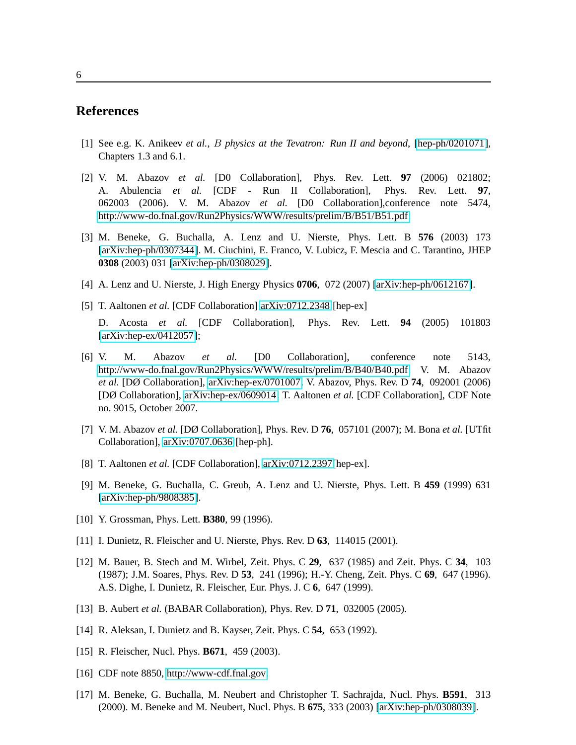## <span id="page-5-0"></span>**References**

- <span id="page-5-1"></span>[1] See e.g. K. Anikeev *et al.*, B *physics at the Tevatron: Run II and beyond*, [\[hep-ph/0201071\]](http://arxiv.org/abs/hep-ph/0201071), Chapters 1.3 and 6.1.
- [2] V. M. Abazov *et al.* [D0 Collaboration], Phys. Rev. Lett. **97** (2006) 021802; A. Abulencia *et al.* [CDF - Run II Collaboration], Phys. Rev. Lett. **97**, 062003 (2006). V. M. Abazov *et al.* [D0 Collaboration],conference note 5474, [http://www-do.fnal.gov/Run2Physics/WWW/results/prelim/B/B51/B51.pdf.](http://www-do.fnal.gov/Run2Physics/WWW/results/prelim/B/B51/B51.pdf)
- <span id="page-5-2"></span>[3] M. Beneke, G. Buchalla, A. Lenz and U. Nierste, Phys. Lett. B **576** (2003) 173 [\[arXiv:hep-ph/0307344\]](http://arxiv.org/abs/hep-ph/0307344). M. Ciuchini, E. Franco, V. Lubicz, F. Mescia and C. Tarantino, JHEP **0308** (2003) 031 [\[arXiv:hep-ph/0308029\]](http://arxiv.org/abs/hep-ph/0308029).
- <span id="page-5-4"></span><span id="page-5-3"></span>[4] A. Lenz and U. Nierste, J. High Energy Physics **0706**, 072 (2007) [\[arXiv:hep-ph/0612167\]](http://arxiv.org/abs/hep-ph/0612167).
- [5] T. Aaltonen *et al.* [CDF Collaboration] [arXiv:0712.2348](http://arxiv.org/abs/0712.2348) [hep-ex] D. Acosta *et al.* [CDF Collaboration], Phys. Rev. Lett. **94** (2005) 101803 [\[arXiv:hep-ex/0412057\]](http://arxiv.org/abs/hep-ex/0412057);
- <span id="page-5-5"></span>[6] V. M. Abazov *et al.* [D0 Collaboration], conference note 5143, [http://www-do.fnal.gov/Run2Physics/WWW/results/prelim/B/B40/B40.pdf.](http://www-do.fnal.gov/Run2Physics/WWW/results/prelim/B/B40/B40.pdf) V. M. Abazov *et al.* [DØ Collaboration], [arXiv:hep-ex/0701007.](http://arxiv.org/abs/hep-ex/0701007) V. Abazov, Phys. Rev. D **74**, 092001 (2006) [DØ Collaboration], [arXiv:hep-ex/0609014.](http://arxiv.org/abs/hep-ex/0609014) T. Aaltonen *et al.* [CDF Collaboration], CDF Note no. 9015, October 2007.
- <span id="page-5-6"></span>[7] V. M. Abazov *et al.* [DØ Collaboration], Phys. Rev. D **76**, 057101 (2007); M. Bona *et al.* [UTfit Collaboration], [arXiv:0707.0636](http://arxiv.org/abs/0707.0636) [hep-ph].
- <span id="page-5-8"></span><span id="page-5-7"></span>[8] T. Aaltonen *et al.* [CDF Collaboration], [arXiv:0712.2397\[](http://arxiv.org/abs/0712.2397)hep-ex].
- [9] M. Beneke, G. Buchalla, C. Greub, A. Lenz and U. Nierste, Phys. Lett. B **459** (1999) 631 [\[arXiv:hep-ph/9808385\]](http://arxiv.org/abs/hep-ph/9808385).
- <span id="page-5-10"></span><span id="page-5-9"></span>[10] Y. Grossman, Phys. Lett. **B380**, 99 (1996).
- <span id="page-5-11"></span>[11] I. Dunietz, R. Fleischer and U. Nierste, Phys. Rev. D **63**, 114015 (2001).
- [12] M. Bauer, B. Stech and M. Wirbel, Zeit. Phys. C **29**, 637 (1985) and Zeit. Phys. C **34**, 103 (1987); J.M. Soares, Phys. Rev. D **53**, 241 (1996); H.-Y. Cheng, Zeit. Phys. C **69**, 647 (1996). A.S. Dighe, I. Dunietz, R. Fleischer, Eur. Phys. J. C **6**, 647 (1999).
- <span id="page-5-13"></span><span id="page-5-12"></span>[13] B. Aubert *et al.* (BABAR Collaboration), Phys. Rev. D **71**, 032005 (2005).
- <span id="page-5-14"></span>[14] R. Aleksan, I. Dunietz and B. Kayser, Zeit. Phys. C **54**, 653 (1992).
- <span id="page-5-15"></span>[15] R. Fleischer, Nucl. Phys. **B671**, 459 (2003).
- <span id="page-5-16"></span>[16] CDF note 8850, [http://www-cdf.fnal.gov.](http://www-cdf.fnal.gov)
- [17] M. Beneke, G. Buchalla, M. Neubert and Christopher T. Sachrajda, Nucl. Phys. **B591**, 313 (2000). M. Beneke and M. Neubert, Nucl. Phys. B **675**, 333 (2003) [\[arXiv:hep-ph/0308039\]](http://arxiv.org/abs/hep-ph/0308039).